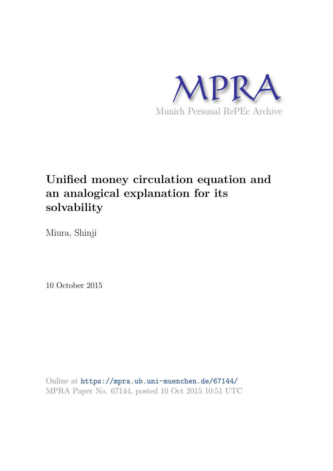

# **Unified money circulation equation and an analogical explanation for its solvability**

Miura, Shinji

10 October 2015

Online at https://mpra.ub.uni-muenchen.de/67144/ MPRA Paper No. 67144, posted 10 Oct 2015 10:51 UTC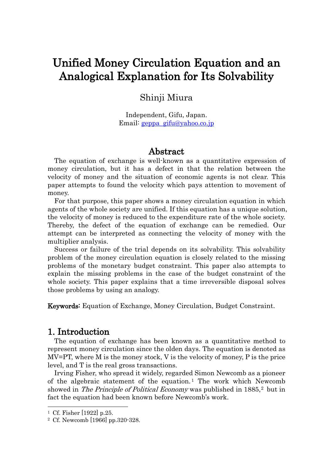## Unified Money Circulation Equation and an Analogical Explanation for Its Solvability

### Shinji Miura

Independent, Gifu, Japan. Email: geppa\_gifu@yahoo.co.jp

#### Abstract

 The equation of exchange is well-known as a quantitative expression of money circulation, but it has a defect in that the relation between the velocity of money and the situation of economic agents is not clear. This paper attempts to found the velocity which pays attention to movement of money.

 For that purpose, this paper shows a money circulation equation in which agents of the whole society are unified. If this equation has a unique solution, the velocity of money is reduced to the expenditure rate of the whole society. Thereby, the defect of the equation of exchange can be remedied. Our attempt can be interpreted as connecting the velocity of money with the multiplier analysis.

 Success or failure of the trial depends on its solvability. This solvability problem of the money circulation equation is closely related to the missing problems of the monetary budget constraint. This paper also attempts to explain the missing problems in the case of the budget constraint of the whole society. This paper explains that a time irreversible disposal solves those problems by using an analogy.

Keywords: Equation of Exchange, Money Circulation, Budget Constraint.

#### 1. Introduction

 The equation of exchange has been known as a quantitative method to represent money circulation since the olden days. The equation is denoted as MV=PT, where M is the money stock, V is the velocity of money, P is the price level, and T is the real gross transactions.

 Irving Fisher, who spread it widely, regarded Simon Newcomb as a pioneer of the algebraic statement of the equation. [1](#page-1-0) The work which Newcomb showed in *The Principle of Political Economy* was published in 1885.<sup>[2](#page-1-1)</sup> but in fact the equation had been known before Newcomb's work.

-

<span id="page-1-0"></span><sup>1</sup> Cf. Fisher [1922] p.25.

<span id="page-1-1"></span><sup>2</sup> Cf. Newcomb [1966] pp.320-328.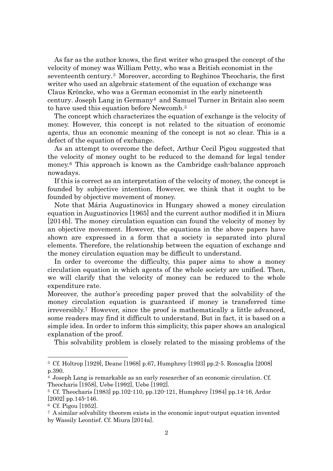As far as the author knows, the first writer who grasped the concept of the velocity of money was William Petty, who was a British economist in the seventeenth century. [3](#page-2-0) Moreover, according to Reghinos Theocharis, the first writer who used an algebraic statement of the equation of exchange was Claus Kröncke, who was a German economist in the early nineteenth century. Joseph Lang in Germany[4](#page-2-1) and Samuel Turner in Britain also seem to have used this equation before Newcomb. [5](#page-2-2)

The concept which characterizes the equation of exchange is the velocity of money. However, this concept is not related to the situation of economic agents, thus an economic meaning of the concept is not so clear. This is a defect of the equation of exchange.

As an attempt to overcome the defect, Arthur Cecil Pigou suggested that the velocity of money ought to be reduced to the demand for legal tender money.[6](#page-2-3) This approach is known as the Cambridge cash-balance approach nowadays.

If this is correct as an interpretation of the velocity of money, the concept is founded by subjective intention. However, we think that it ought to be founded by objective movement of money.

Note that Mária Augustinovics in Hungary showed a money circulation equation in Augustinovics [1965] and the current author modified it in Miura [2014b]. The money circulation equation can found the velocity of money by an objective movement. However, the equations in the above papers have shown are expressed in a form that a society is separated into plural elements. Therefore, the relationship between the equation of exchange and the money circulation equation may be difficult to understand.

In order to overcome the difficulty, this paper aims to show a money circulation equation in which agents of the whole society are unified. Then, we will clarify that the velocity of money can be reduced to the whole expenditure rate.

Moreover, the author's preceding paper proved that the solvability of the money circulation equation is guaranteed if money is transferred time irreversibly. [7](#page-2-4) However, since the proof is mathematically a little advanced, some readers may find it difficult to understand. But in fact, it is based on a simple idea. In order to inform this simplicity, this paper shows an analogical explanation of the proof.

This solvability problem is closely related to the missing problems of the

<span id="page-2-0"></span><sup>3</sup> Cf. Holtrop [1929], Deane [1968] p.67, Humphrey [1993] pp.2-5. Roncaglia [2008] p.390.

<span id="page-2-1"></span><sup>4</sup> Joseph Lang is remarkable as an early researcher of an economic circulation. Cf. Theocharis [1958], Uebe [1992], Uebe [1992].

<span id="page-2-2"></span><sup>5</sup> Cf. Theocharis [1983] pp.102-110, pp.120-121, Humphrey [1984] pp.14-16, Ardor [2002] pp.145-146.

<span id="page-2-3"></span><sup>6</sup> Cf. Pigou [1952].

<span id="page-2-4"></span><sup>7</sup> A similar solvability theorem exists in the economic input-output equation invented by Wassily Leontief. Cf. Miura [2014a].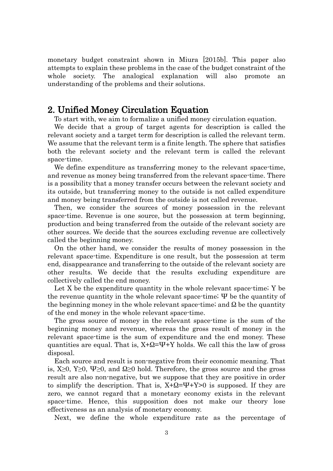monetary budget constraint shown in Miura [2015b]. This paper also attempts to explain these problems in the case of the budget constraint of the whole society. The analogical explanation will also promote an understanding of the problems and their solutions.

#### 2. Unified Money Circulation Equation

To start with, we aim to formalize a unified money circulation equation.

 We decide that a group of target agents for description is called the relevant society and a target term for description is called the relevant term. We assume that the relevant term is a finite length. The sphere that satisfies both the relevant society and the relevant term is called the relevant space-time.

We define expenditure as transferring money to the relevant space-time, and revenue as money being transferred from the relevant space-time. There is a possibility that a money transfer occurs between the relevant society and its outside, but transferring money to the outside is not called expenditure and money being transferred from the outside is not called revenue.

Then, we consider the sources of money possession in the relevant space-time. Revenue is one source, but the possession at term beginning, production and being transferred from the outside of the relevant society are other sources. We decide that the sources excluding revenue are collectively called the beginning money.

On the other hand, we consider the results of money possession in the relevant space-time. Expenditure is one result, but the possession at term end, disappearance and transferring to the outside of the relevant society are other results. We decide that the results excluding expenditure are collectively called the end money.

Let X be the expenditure quantity in the whole relevant space-time; Y be the revenue quantity in the whole relevant space-time;  $\Psi$  be the quantity of the beginning money in the whole relevant space-time; and  $\Omega$  be the quantity of the end money in the whole relevant space-time.

The gross source of money in the relevant space-time is the sum of the beginning money and revenue, whereas the gross result of money in the relevant space-time is the sum of expenditure and the end money. These quantities are equal. That is,  $X + \Omega = \Psi + Y$  holds. We call this the law of gross disposal.

Each source and result is non-negative from their economic meaning. That is,  $X≥0$ ,  $Y≥0$ ,  $\Psi≥0$ , and  $\Omega≥0$  hold. Therefore, the gross source and the gross result are also non-negative, but we suppose that they are positive in order to simplify the description. That is,  $X + \Omega = \Psi + Y > 0$  is supposed. If they are zero, we cannot regard that a monetary economy exists in the relevant space-time. Hence, this supposition does not make our theory lose effectiveness as an analysis of monetary economy.

Next, we define the whole expenditure rate as the percentage of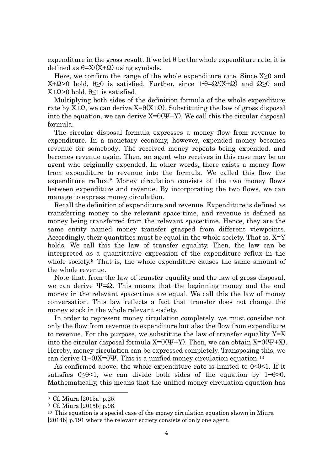expenditure in the gross result. If we let  $\theta$  be the whole expenditure rate, it is defined as  $\theta = X/(X+\Omega)$  using symbols.

Here, we confirm the range of the whole expenditure rate. Since  $X\geq 0$  and X+Ω>0 hold,  $\theta$ >0 is satisfied. Further, since 1- $\theta$ =Ω/(X+Ω) and Ω>0 and X+Ω>0 hold, θ≤1 is satisfied.

Multiplying both sides of the definition formula of the whole expenditure rate by  $X+Q$ , we can derive  $X=θ(X+Q)$ . Substituting the law of gross disposal into the equation, we can derive  $X=θ(\Psi+Y)$ . We call this the circular disposal formula.

The circular disposal formula expresses a money flow from revenue to expenditure. In a monetary economy, however, expended money becomes revenue for somebody. The received money repeats being expended, and becomes revenue again. Then, an agent who receives in this case may be an agent who originally expended. In other words, there exists a money flow from expenditure to revenue into the formula. We called this flow the expenditure reflux. [8](#page-4-0) Money circulation consists of the two money flows between expenditure and revenue. By incorporating the two flows, we can manage to express money circulation.

Recall the definition of expenditure and revenue. Expenditure is defined as transferring money to the relevant space-time, and revenue is defined as money being transferred from the relevant space-time. Hence, they are the same entity named money transfer grasped from different viewpoints. Accordingly, their quantities must be equal in the whole society. That is,  $X = Y$ holds. We call this the law of transfer equality. Then, the law can be interpreted as a quantitative expression of the expenditure reflux in the whole society.<sup>[9](#page-4-1)</sup> That is, the whole expenditure causes the same amount of the whole revenue.

Note that, from the law of transfer equality and the law of gross disposal, we can derive  $\Psi = \Omega$ . This means that the beginning money and the end money in the relevant space-time are equal. We call this the law of money conversation. This law reflects a fact that transfer does not change the money stock in the whole relevant society.

In order to represent money circulation completely, we must consider not only the flow from revenue to expenditure but also the flow from expenditure to revenue. For the purpose, we substitute the law of transfer equality  $Y=X$ into the circular disposal formula  $X=0(\Psi+Y)$ . Then, we can obtain  $X=0(\Psi+X)$ . Hereby, money circulation can be expressed completely. Transposing this, we can derive  $(1-\theta)X=\theta\Psi$ . This is a unified money circulation equation.<sup>[10](#page-4-2)</sup>

As confirmed above, the whole expenditure rate is limited to  $0 \le \theta \le 1$ . If it satisfies  $0\leq\theta<1$ , we can divide both sides of the equation by  $1-\theta>0$ . Mathematically, this means that the unified money circulation equation has

<span id="page-4-0"></span><sup>8</sup> Cf. Miura [2015a] p.25.

<span id="page-4-1"></span><sup>9</sup> Cf. Miura [2015b] p.98.

<span id="page-4-2"></span> $10$  This equation is a special case of the money circulation equation shown in Miura [2014b] p.191 where the relevant society consists of only one agent.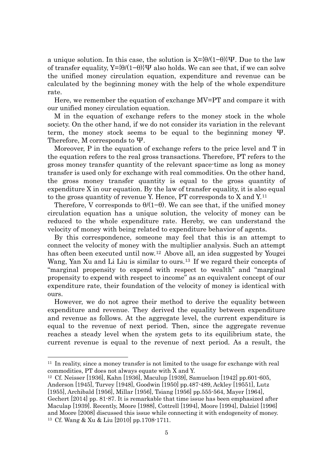a unique solution. In this case, the solution is  $X=\{0/(1-\theta)\}\Psi$ . Due to the law of transfer equality,  $Y=\{0/(1-\theta)\}\Psi$  also holds. We can see that, if we can solve the unified money circulation equation, expenditure and revenue can be calculated by the beginning money with the help of the whole expenditure rate.

 Here, we remember the equation of exchange MV=PT and compare it with our unified money circulation equation.

M in the equation of exchange refers to the money stock in the whole society. On the other hand, if we do not consider its variation in the relevant term, the money stock seems to be equal to the beginning money Ψ. Therefore, M corresponds to Ψ.

Moreover, P in the equation of exchange refers to the price level and T in the equation refers to the real gross transactions. Therefore, PT refers to the gross money transfer quantity of the relevant space-time as long as money transfer is used only for exchange with real commodities. On the other hand, the gross money transfer quantity is equal to the gross quantity of expenditure X in our equation. By the law of transfer equality, it is also equal to the gross quantity of revenue Y. Hence, PT corresponds to X and Y.[11](#page-5-0)

Therefore, V corresponds to  $\theta/(1-\theta)$ . We can see that, if the unified money circulation equation has a unique solution, the velocity of money can be reduced to the whole expenditure rate. Hereby, we can understand the velocity of money with being related to expenditure behavior of agents.

By this correspondence, someone may feel that this is an attempt to connect the velocity of money with the multiplier analysis. Such an attempt has often been executed until now.<sup>[12](#page-5-1)</sup> Above all, an idea suggested by Yougei Wang, Yan Xu and Li Liu is similar to ours. [13](#page-5-2) If we regard their concepts of "marginal propensity to expend with respect to wealth" and "marginal propensity to expend with respect to income" as an equivalent concept of our expenditure rate, their foundation of the velocity of money is identical with ours.

However, we do not agree their method to derive the equality between expenditure and revenue. They derived the equality between expenditure and revenue as follows. At the aggregate level, the current expenditure is equal to the revenue of next period. Then, since the aggregate revenue reaches a steady level when the system gets to its equilibrium state, the current revenue is equal to the revenue of next period. As a result, the

<span id="page-5-1"></span><sup>12</sup> Cf. Neisser [1936], Kahn [1936], Maculup [1939], Samuelson [1942] pp.601-605, Anderson [1945], Turvey [1948], Goodwin [1950] pp.487-489, Ackley [19551], Lutz

<span id="page-5-0"></span><sup>11</sup> In reality, since a money transfer is not limited to the usage for exchange with real commodities, PT does not always equate with X and Y.

<span id="page-5-2"></span><sup>[1955],</sup> Archibald [1956], Millar [1956], Tsiang [1956] pp.555-564, Mayer [1964], Gechert [2014] pp. 81-87. It is remarkable that time issue has been emphasized after Maculap [1939]. Recently, Moore [1988], Cottrell [1994], Moore [1994], Dalziel [1996] and Moore [2008] discussed this issue while connecting it with endogeneity of money. <sup>13</sup> Cf. Wang & Xu & Liu [2010] pp.1708-1711.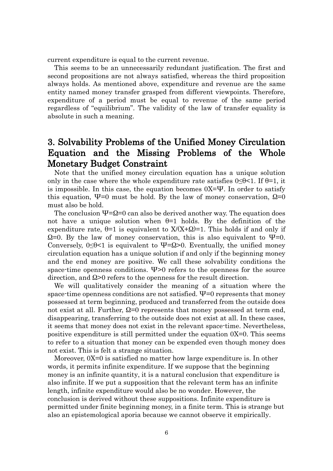current expenditure is equal to the current revenue.

This seems to be an unnecessarily redundant justification. The first and second propositions are not always satisfied, whereas the third proposition always holds. As mentioned above, expenditure and revenue are the same entity named money transfer grasped from different viewpoints. Therefore, expenditure of a period must be equal to revenue of the same period regardless of "equilibrium". The validity of the law of transfer equality is absolute in such a meaning.

## 3. Solvability Problems of the Unified Money Circulation Equation and the Missing Problems of the Whole Monetary Budget Constraint

Note that the unified money circulation equation has a unique solution only in the case where the whole expenditure rate satisfies  $0 \le \theta < 1$ . If  $\theta = 1$ , it is impossible. In this case, the equation becomes 0X=Ψ. In order to satisfy this equation,  $\Psi=0$  must be hold. By the law of money conservation,  $\Omega=0$ must also be hold.

The conclusion  $\Psi = \Omega = 0$  can also be derived another way. The equation does not have a unique solution when  $\theta=1$  holds. By the definition of the expenditure rate,  $\theta = 1$  is equivalent to  $X/(X+\Omega) = 1$ . This holds if and only if  $\Omega$ =0. By the law of money conservation, this is also equivalent to  $\Psi$ =0. Conversely,  $0 \leq \theta < 1$  is equivalent to  $\Psi = \Omega > 0$ . Eventually, the unified money circulation equation has a unique solution if and only if the beginning money and the end money are positive. We call these solvability conditions the space-time openness conditions.  $\Psi$ >0 refers to the openness for the source direction, and Ω>0 refers to the openness for the result direction.

We will qualitatively consider the meaning of a situation where the space-time openness conditions are not satisfied.  $\Psi$ =0 represents that money possessed at term beginning, produced and transferred from the outside does not exist at all. Further,  $\Omega = 0$  represents that money possessed at term end, disappearing, transferring to the outside does not exist at all. In these cases, it seems that money does not exist in the relevant space-time. Nevertheless, positive expenditure is still permitted under the equation 0X=0. This seems to refer to a situation that money can be expended even though money does not exist. This is felt a strange situation.

 Moreover, 0X=0 is satisfied no matter how large expenditure is. In other words, it permits infinite expenditure. If we suppose that the beginning money is an infinite quantity, it is a natural conclusion that expenditure is also infinite. If we put a supposition that the relevant term has an infinite length, infinite expenditure would also be no wonder. However, the conclusion is derived without these suppositions. Infinite expenditure is permitted under finite beginning money, in a finite term. This is strange but also an epistemological aporia because we cannot observe it empirically.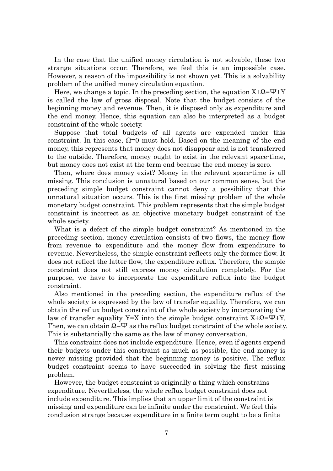In the case that the unified money circulation is not solvable, these two strange situations occur. Therefore, we feel this is an impossible case. However, a reason of the impossibility is not shown yet. This is a solvability problem of the unified money circulation equation.

Here, we change a topic. In the preceding section, the equation  $X+Q=\Psi+Y$ is called the law of gross disposal. Note that the budget consists of the beginning money and revenue. Then, it is disposed only as expenditure and the end money. Hence, this equation can also be interpreted as a budget constraint of the whole society.

 Suppose that total budgets of all agents are expended under this constraint. In this case,  $\Omega$ =0 must hold. Based on the meaning of the end money, this represents that money does not disappear and is not transferred to the outside. Therefore, money ought to exist in the relevant space-time, but money does not exist at the term end because the end money is zero.

 Then, where does money exist? Money in the relevant space-time is all missing. This conclusion is unnatural based on our common sense, but the preceding simple budget constraint cannot deny a possibility that this unnatural situation occurs. This is the first missing problem of the whole monetary budget constraint. This problem represents that the simple budget constraint is incorrect as an objective monetary budget constraint of the whole society.

 What is a defect of the simple budget constraint? As mentioned in the preceding section, money circulation consists of two flows, the money flow from revenue to expenditure and the money flow from expenditure to revenue. Nevertheless, the simple constraint reflects only the former flow. It does not reflect the latter flow, the expenditure reflux. Therefore, the simple constraint does not still express money circulation completely. For the purpose, we have to incorporate the expenditure reflux into the budget constraint.

 Also mentioned in the preceding section, the expenditure reflux of the whole society is expressed by the law of transfer equality. Therefore, we can obtain the reflux budget constraint of the whole society by incorporating the law of transfer equality Y=X into the simple budget constraint X+Ω=Ψ+Y. Then, we can obtain  $\Omega = \Psi$  as the reflux budget constraint of the whole society. This is substantially the same as the law of money conversation.

 This constraint does not include expenditure. Hence, even if agents expend their budgets under this constraint as much as possible, the end money is never missing provided that the beginning money is positive. The reflux budget constraint seems to have succeeded in solving the first missing problem.

 However, the budget constraint is originally a thing which constrains expenditure. Nevertheless, the whole reflux budget constraint does not include expenditure. This implies that an upper limit of the constraint is missing and expenditure can be infinite under the constraint. We feel this conclusion strange because expenditure in a finite term ought to be a finite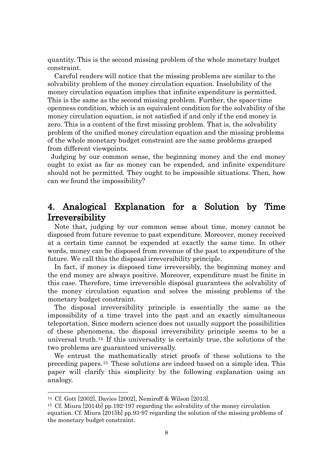quantity. This is the second missing problem of the whole monetary budget constraint.

 Careful readers will notice that the missing problems are similar to the solvability problem of the money circulation equation. Insolubility of the money circulation equation implies that infinite expenditure is permitted. This is the same as the second missing problem. Further, the space-time openness condition, which is an equivalent condition for the solvability of the money circulation equation, is not satisfied if and only if the end money is zero. This is a content of the first missing problem. That is, the solvability problem of the unified money circulation equation and the missing problems of the whole monetary budget constraint are the same problems grasped from different viewpoints.

Judging by our common sense, the beginning money and the end money ought to exist as far as money can be expended, and infinite expenditure should not be permitted. They ought to be impossible situations. Then, how can we found the impossibility?

## 4. Analogical Explanation for a Solution by Time Irreversibility

Note that, judging by our common sense about time, money cannot be disposed from future revenue to past expenditure. Moreover, money received at a certain time cannot be expended at exactly the same time. In other words, money can be disposed from revenue of the past to expenditure of the future. We call this the disposal irreversibility principle.

In fact, if money is disposed time irreversibly, the beginning money and the end money are always positive. Moreover, expenditure must be finite in this case. Therefore, time irreversible disposal guarantees the solvability of the money circulation equation and solves the missing problems of the monetary budget constraint.

The disposal irreversibility principle is essentially the same as the impossibility of a time travel into the past and an exactly simultaneous teleportation. Since modern science does not usually support the possibilities of these phenomena, the disposal irreversibility principle seems to be a universal truth.[14](#page-8-0) If this universality is certainly true, the solutions of the two problems are guaranteed universally.

 We entrust the mathematically strict proofs of these solutions to the preceding papers.[15](#page-8-1) These solutions are indeed based on a simple idea. This paper will clarify this simplicity by the following explanation using an analogy.

<span id="page-8-0"></span><sup>14</sup> Cf. Gott [2002], Davies [2002], Nemiroff & Wilson [2013].

<span id="page-8-1"></span><sup>15</sup> Cf. Miura [2014b] pp.192-197 regarding the solvability of the money circulation equation. Cf. Miura [2015b] pp.93-97 regarding the solution of the missing problems of the monetary budget constraint.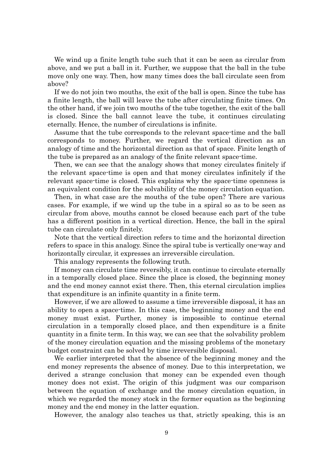We wind up a finite length tube such that it can be seen as circular from above, and we put a ball in it. Further, we suppose that the ball in the tube move only one way. Then, how many times does the ball circulate seen from above?

If we do not join two mouths, the exit of the ball is open. Since the tube has a finite length, the ball will leave the tube after circulating finite times. On the other hand, if we join two mouths of the tube together, the exit of the ball is closed. Since the ball cannot leave the tube, it continues circulating eternally. Hence, the number of circulations is infinite.

Assume that the tube corresponds to the relevant space-time and the ball corresponds to money. Further, we regard the vertical direction as an analogy of time and the horizontal direction as that of space. Finite length of the tube is prepared as an analogy of the finite relevant space-time.

Then, we can see that the analogy shows that money circulates finitely if the relevant space-time is open and that money circulates infinitely if the relevant space-time is closed. This explains why the space-time openness is an equivalent condition for the solvability of the money circulation equation.

 Then, in what case are the mouths of the tube open? There are various cases. For example, if we wind up the tube in a spiral so as to be seen as circular from above, mouths cannot be closed because each part of the tube has a different position in a vertical direction. Hence, the ball in the spiral tube can circulate only finitely.

 Note that the vertical direction refers to time and the horizontal direction refers to space in this analogy. Since the spiral tube is vertically one-way and horizontally circular, it expresses an irreversible circulation.

This analogy represents the following truth.

 If money can circulate time reversibly, it can continue to circulate eternally in a temporally closed place. Since the place is closed, the beginning money and the end money cannot exist there. Then, this eternal circulation implies that expenditure is an infinite quantity in a finite term.

 However, if we are allowed to assume a time irreversible disposal, it has an ability to open a space-time. In this case, the beginning money and the end money must exist. Further, money is impossible to continue eternal circulation in a temporally closed place, and then expenditure is a finite quantity in a finite term. In this way, we can see that the solvability problem of the money circulation equation and the missing problems of the monetary budget constraint can be solved by time irreversible disposal.

We earlier interpreted that the absence of the beginning money and the end money represents the absence of money. Due to this interpretation, we derived a strange conclusion that money can be expended even though money does not exist. The origin of this judgment was our comparison between the equation of exchange and the money circulation equation, in which we regarded the money stock in the former equation as the beginning money and the end money in the latter equation.

However, the analogy also teaches us that, strictly speaking, this is an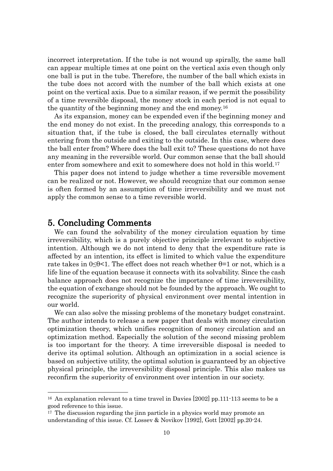incorrect interpretation. If the tube is not wound up spirally, the same ball can appear multiple times at one point on the vertical axis even though only one ball is put in the tube. Therefore, the number of the ball which exists in the tube does not accord with the number of the ball which exists at one point on the vertical axis. Due to a similar reason, if we permit the possibility of a time reversible disposal, the money stock in each period is not equal to the quantity of the beginning money and the end money.[16](#page-10-0)

As its expansion, money can be expended even if the beginning money and the end money do not exist. In the preceding analogy, this corresponds to a situation that, if the tube is closed, the ball circulates eternally without entering from the outside and exiting to the outside. In this case, where does the ball enter from? Where does the ball exit to? These questions do not have any meaning in the reversible world. Our common sense that the ball should enter from somewhere and exit to somewhere does not hold in this world.<sup>[17](#page-10-1)</sup>

This paper does not intend to judge whether a time reversible movement can be realized or not. However, we should recognize that our common sense is often formed by an assumption of time irreversibility and we must not apply the common sense to a time reversible world.

#### 5. Concluding Comments

1

 We can found the solvability of the money circulation equation by time irreversibility, which is a purely objective principle irrelevant to subjective intention. Although we do not intend to deny that the expenditure rate is affected by an intention, its effect is limited to which value the expenditure rate takes in  $0 \le \theta < 1$ . The effect does not reach whether  $\theta = 1$  or not, which is a life line of the equation because it connects with its solvability. Since the cash balance approach does not recognize the importance of time irreversibility, the equation of exchange should not be founded by the approach. We ought to recognize the superiority of physical environment over mental intention in our world.

 We can also solve the missing problems of the monetary budget constraint. The author intends to release a new paper that deals with money circulation optimization theory, which unifies recognition of money circulation and an optimization method. Especially the solution of the second missing problem is too important for the theory. A time irreversible disposal is needed to derive its optimal solution. Although an optimization in a social science is based on subjective utility, the optimal solution is guaranteed by an objective physical principle, the irreversibility disposal principle. This also makes us reconfirm the superiority of environment over intention in our society.

<span id="page-10-0"></span><sup>&</sup>lt;sup>16</sup> An explanation relevant to a time travel in Davies [2002] pp.111-113 seems to be a good reference to this issue.

<span id="page-10-1"></span><sup>&</sup>lt;sup>17</sup> The discussion regarding the jinn particle in a physics world may promote an understanding of this issue. Cf. Lossev & Novikov [1992], Gott [2002] pp.20-24.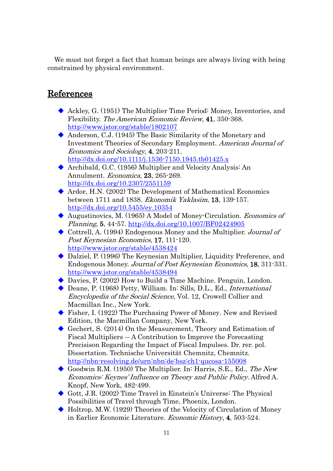We must not forget a fact that human beings are always living with being constrained by physical environment.

## **References**

- Ackley, G. (1951) The Multiplier Time Period: Money, Inventories, and Flexibility. The American Economic Review, 41, 350-368. http://www.jstor.org/stable/1802107
- Anderson, C.J. (1945) The Basic Similarity of the Monetary and Investment Theories of Secondary Employment. American Journal of Economics and Sociology, 4, 203-211. http://dx.doi.org/10.1111/j.1536-7150.1945.tb01425.x
- Archibald, G.C. (1956) Multiplier and Velocity Analysis: An Annulment. Economica, 23, 265-269. http://dx.doi.org/10.2307/2551159
- Ardor, H.N. (2002) The Development of Mathematical Economics between 1711 and 1838. Ekonomik Yaklasim, 13, 139-157. http://dx.doi.org/10.5455/ey.10354
- Augustinovics, M. (1965) A Model of Money-Circulation. Economics of Planning, 5, 44-57. http://dx.doi.org/10.1007/BF02424905
- Cottrell, A. (1994) Endogenous Money and the Multiplier. Journal of Post Keynesian Economics, 17, 111-120. http://www.jstor.org/stable/4538424
- ◆ Dalziel, P. (1996) The Keynesian Multiplier, Liquidity Preference, and Endogenous Money. Journal of Post Keynesian Economics, 18, 311-331. http://www.jstor.org/stable/4538494
- Davies, P. (2002) How to Build a Time Machine. Penguin, London.
- ◆ Deane, P. (1968) Petty, William. In: Sills, D.L., Ed., *International* Encyclopedia of the Social Science, Vol. 12, Crowell Collier and Macmillan Inc., New York.
- Fisher, I. (1922) The Purchasing Power of Money. New and Revised Edition, the Macmillan Company, New York.
- Gechert, S. (2014) On the Measurement, Theory and Estimation of Fiscal Multipliers ― A Contribution to Improve the Forecasting Precisison Regarding the Impact of Fiscal Impulses. Dr. rer. pol. Dissertation. Technische Universität Chemnitz, Chemnitz. http://nbn-resolving.de/urn:nbn:de:bsz:ch1-qucosa-155008
- Goodwin R.M. (1950) The Multiplier. In: Harris, S.E., Ed., The New Economics: Keynes' Influence on Theory and Public Policy. Alfred A. Knopf, New York, 482-499.
- Gott, J.R. (2002) Time Travel in Einstein's Universe: The Physical Possibilities of Travel through Time, Phoenix, London.
- Holtrop, M.W. (1929) Theories of the Velocity of Circulation of Money in Earlier Economic Literature. Economic History, 4, 503-524.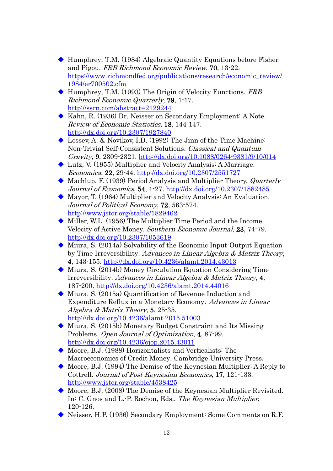- Humphrey, T.M. (1984) Algebraic Quantity Equations before Fisher and Pigou. FRB Richmond Economic Review, 70, 13-22. https://www.richmondfed.org/publications/research/economic\_review/ 1984/er700502.cfm
- $\blacklozenge$  Humphrey, T.M. (1993) The Origin of Velocity Functions. FRB Richmond Economic Quarterly, 79, 1-17. http://ssrn.com/abstract=2129244
- Kahn, R. (1936) Dr. Neisser on Secondary Employment: A Note. Review of Economic Statistics, 18, 144-147. http://dx.doi.org/10.2307/1927840
- Lossev, A. & Novikov, I.D. (1992) The Jinn of the Time Machine: Non-Trivial Self-Consistent Solutions. Classical and Quantum Gravity, 9, 2309-2321. http://dx.doi.org/10.1088/0264-9381/9/10/014
- Lutz, V. (1955) Multiplier and Velocity Analysis: A Marriage. Economica, 22, 29-44. http://dx.doi.org/10.2307/2551727
- Machlup, F. (1939) Period Analysis and Multiplier Theory. Quarterly Journal of Economics, 54, 1-27. http://dx.doi.org/10.2307/1882485
- Mayor, T. (1964) Multiplier and Velocity Analysis: An Evaluation. Journal of Political Economy, 72, 563-574. http://www.jstor.org/stable/1829462
- Miller, W.L. (1956) The Multiplier Time Period and the Income Velocity of Active Money. Southern Economic Journal, 23, 74-79. http://dx.doi.org/10.2307/1053619
- Miura, S. (2014a) Solvability of the Economic Input-Output Equation by Time Irreversibility. Advances in Linear Algebra & Matrix Theory, 4, 143-155. http://dx.doi.org/10.4236/alamt.2014.43013
- Miura, S. (2014b) Money Circulation Equation Considering Time Irreversibility. Advances in Linear Algebra & Matrix Theory, 4, 187-200. http://dx.doi.org/10.4236/alamt.2014.44016
- Miura, S. (2015a) Quantification of Revenue Induction and Expenditure Reflux in a Monetary Economy. Advances in Linear Algebra & Matrix Theory, 5, 25-35. http://dx.doi.org/10.4236/alamt.2015.51003
- Miura, S. (2015b) Monetary Budget Constraint and Its Missing Problems. Open Journal of Optimization, 4, 87-99. http://dx.doi.org/10.4236/ojop.2015.43011
- Moore, B.J. (1988) Horizontalists and Verticalists: The Macroeconomics of Credit Money. Cambridge University Press.
- Moore, B.J. (1994) The Demise of the Keynesian Multiplier: A Reply to Cottrell. Journal of Post Keynesian Economics, 17, 121-133. http://www.jstor.org/stable/4538425
- Moore, B.J. (2008) The Demise of the Keynesian Multiplier Revisited. In: C. Gnos and L.-P. Rochon, Eds., The Keynesian Multiplier, 120-126.
- Neisser, H.P. (1936) Secondary Employment: Some Comments on R.F.